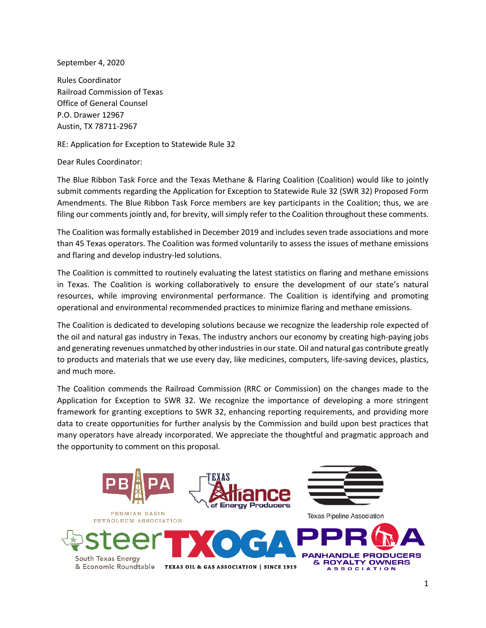September 4, 2020

Rules Coordinator Railroad Commission of Texas Office of General Counsel P.O. Drawer 12967 Austin, TX 78711-2967

RE: Application for Exception to Statewide Rule 32

Dear Rules Coordinator:

The Blue Ribbon Task Force and the Texas Methane & Flaring Coalition (Coalition) would like to jointly submit comments regarding the Application for Exception to Statewide Rule 32 (SWR 32) Proposed Form Amendments. The Blue Ribbon Task Force members are key participants in the Coalition; thus, we are filing our comments jointly and, for brevity, will simply refer to the Coalition throughout these comments.

The Coalition was formally established in December 2019 and includes seven trade associations and more than 45 Texas operators. The Coalition was formed voluntarily to assess the issues of methane emissions and flaring and develop industry-led solutions.

The Coalition is committed to routinely evaluating the latest statistics on flaring and methane emissions in Texas. The Coalition is working collaboratively to ensure the development of our state's natural resources, while improving environmental performance. The Coalition is identifying and promoting operational and environmental recommended practices to minimize flaring and methane emissions.

The Coalition is dedicated to developing solutions because we recognize the leadership role expected of the oil and natural gas industry in Texas. The industry anchors our economy by creating high-paying jobs and generating revenues unmatched by other industries in our state. Oil and natural gas contribute greatly to products and materials that we use every day, like medicines, computers, life-saving devices, plastics, and much more.

The Coalition commends the Railroad Commission (RRC or Commission) on the changes made to the Application for Exception to SWR 32. We recognize the importance of developing a more stringent framework for granting exceptions to SWR 32, enhancing reporting requirements, and providing more data to create opportunities for further analysis by the Commission and build upon best practices that many operators have already incorporated. We appreciate the thoughtful and pragmatic approach and the opportunity to comment on this proposal.

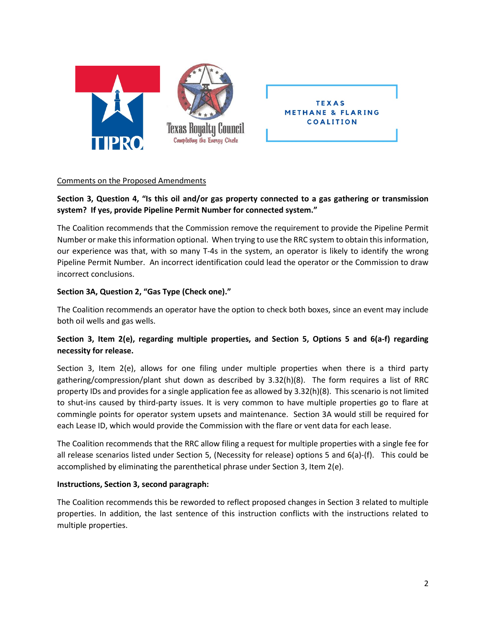

## Comments on the Proposed Amendments

# **Section 3, Question 4, "Is this oil and/or gas property connected to a gas gathering or transmission system? If yes, provide Pipeline Permit Number for connected system."**

The Coalition recommends that the Commission remove the requirement to provide the Pipeline Permit Number or make this information optional. When trying to use the RRC system to obtain this information, our experience was that, with so many T-4s in the system, an operator is likely to identify the wrong Pipeline Permit Number. An incorrect identification could lead the operator or the Commission to draw incorrect conclusions.

## **Section 3A, Question 2, "Gas Type (Check one)."**

The Coalition recommends an operator have the option to check both boxes, since an event may include both oil wells and gas wells.

# **Section 3, Item 2(e), regarding multiple properties, and Section 5, Options 5 and 6(a-f) regarding necessity for release.**

Section 3, Item 2(e), allows for one filing under multiple properties when there is a third party gathering/compression/plant shut down as described by 3.32(h)(8). The form requires a list of RRC property IDs and provides for a single application fee as allowed by 3.32(h)(8). This scenario is not limited to shut-ins caused by third-party issues. It is very common to have multiple properties go to flare at commingle points for operator system upsets and maintenance. Section 3A would still be required for each Lease ID, which would provide the Commission with the flare or vent data for each lease.

The Coalition recommends that the RRC allow filing a request for multiple properties with a single fee for all release scenarios listed under Section 5, (Necessity for release) options 5 and 6(a)-(f). This could be accomplished by eliminating the parenthetical phrase under Section 3, Item 2(e).

#### **Instructions, Section 3, second paragraph:**

The Coalition recommends this be reworded to reflect proposed changes in Section 3 related to multiple properties. In addition, the last sentence of this instruction conflicts with the instructions related to multiple properties.